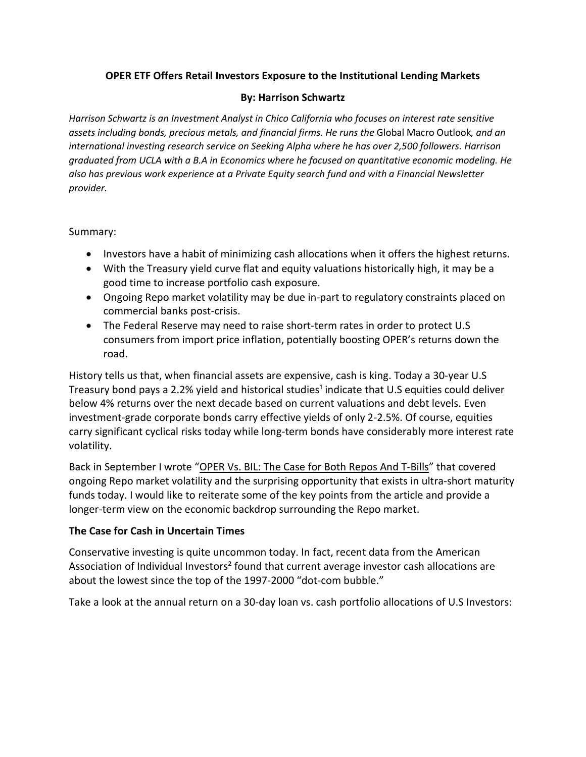## **OPER ETF Offers Retail Investors Exposure to the Institutional Lending Markets**

### **By: Harrison Schwartz**

*Harrison Schwartz is an Investment Analyst in Chico California who focuses on interest rate sensitive assets including bonds, precious metals, and financial firms. He runs the* Global Macro Outlook*, and an international investing research service on Seeking Alpha where he has over 2,500 followers. Harrison graduated from UCLA with a B.A in Economics where he focused on quantitative economic modeling. He also has previous work experience at a Private Equity search fund and with a Financial Newsletter provider.* 

### Summary:

- Investors have a habit of minimizing cash allocations when it offers the highest returns.
- With the Treasury yield curve flat and equity valuations historically high, it may be a good time to increase portfolio cash exposure.
- Ongoing Repo market volatility may be due in-part to regulatory constraints placed on commercial banks post-crisis.
- The Federal Reserve may need to raise short-term rates in order to protect U.S consumers from import price inflation, potentially boosting OPER's returns down the road.

History tells us that, when financial assets are expensive, cash is king. Today a 30-year U.S Treasury bond pays a 2.2% yield and historical studies<sup>1</sup> indicate that U.S equities could deliver below 4% returns over the next decade based on current valuations and debt levels. Even investment-grade corporate bonds carry effective yields of only 2-2.5%. Of course, equities carry significant cyclical risks today while long-term bonds have considerably more interest rate volatility.

Back in September I wrote "OPER Vs. BIL: The Case for Both Repos And T-Bills" that covered ongoing Repo market volatility and the surprising opportunity that exists in ultra-short maturity funds today. I would like to reiterate some of the key points from the article and provide a longer-term view on the economic backdrop surrounding the Repo market.

# **The Case for Cash in Uncertain Times**

Conservative investing is quite uncommon today. In fact, recent data from the American Association of Individual Investors<sup>2</sup> found that current average investor cash allocations are about the lowest since the top of the 1997-2000 "dot-com bubble."

Take a look at the annual return on a 30-day loan vs. cash portfolio allocations of U.S Investors: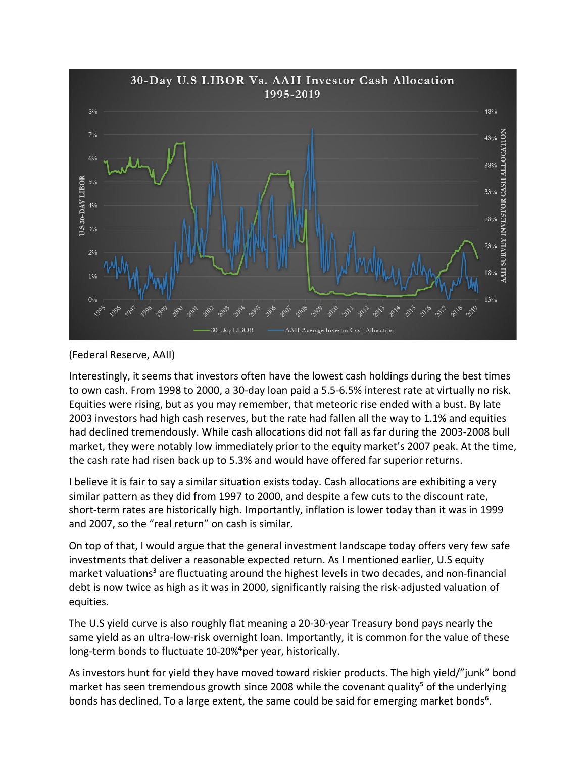

### [\(Federal Reserve,](https://fred.stlouisfed.org/series/USD1MTD156N) [AAII\)](https://www.aaii.com/assetallocationsurvey)

Interestingly, it seems that investors often have the lowest cash holdings during the best times to own cash. From 1998 to 2000, a 30-day loan paid a 5.5-6.5% interest rate at virtually no risk. Equities were rising, but as you may remember, that meteoric rise ended with a bust. By late 2003 investors had high cash reserves, but the rate had fallen all the way to 1.1% and equities had declined tremendously. While cash allocations did not fall as far during the 2003-2008 bull market, they were notably low immediately prior to the equity market's 2007 peak. At the time, the cash rate had risen back up to 5.3% and would have offered far superior returns.

I believe it is fair to say a similar situation exists today. Cash allocations are exhibiting a very similar pattern as they did from 1997 to 2000, and despite a few cuts to the discount rate, short-term rates are historically high. Importantly, inflation is lower today than it was in 1999 and 2007, so the "real return" on cash is similar.

On top of that, I would argue that the general investment landscape today offers very few safe investments that deliver a reasonable expected return. As I mentioned earlier, U.S equity market valuations<sup>3</sup> are fluctuating around the highest levels in two decades, and non-financial debt is now twice as high as it was in 2000, significantly raising the risk-adjusted valuation of equities.

The U.S yield curve is also roughly flat meaning a 20-30-year Treasury bond pays nearly the same yield as an ultra-low-risk overnight loan. Importantly, it is common for the value of these long-term bonds to fluctuate 10-20%<sup>4</sup>per year, historically.

As investors hunt for yield they have moved toward riskier products. The high yield/"junk" bond market has seen tremendous growth since 2008 while the covenant quality<sup>5</sup> of the underlying bonds has declined. To a large extent, the same could be said for emerging market bonds<sup>6</sup>.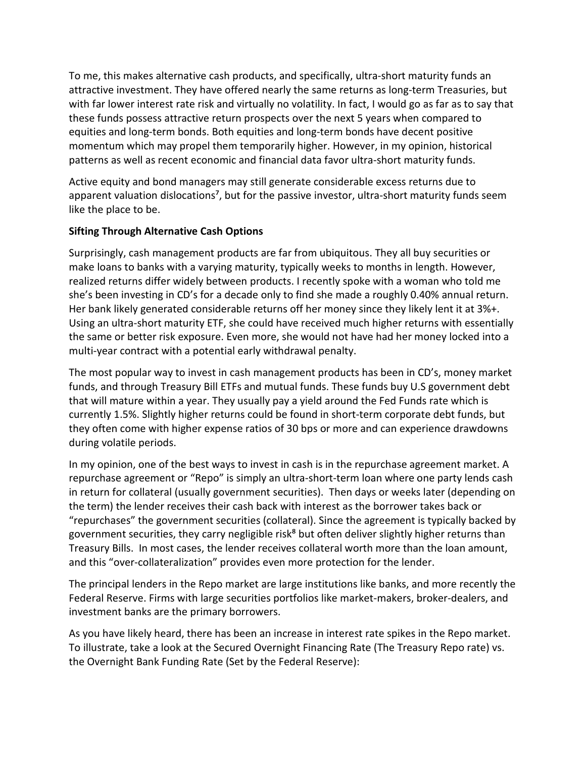To me, this makes alternative cash products, and specifically, ultra-short maturity funds an attractive investment. They have offered nearly the same returns as long-term Treasuries, but with far lower interest rate risk and virtually no volatility. In fact, I would go as far as to say that these funds possess attractive return prospects over the next 5 years when compared to equities and long-term bonds. Both equities and long-term bonds have decent positive momentum which may propel them temporarily higher. However, in my opinion, historical patterns as well as recent economic and financial data favor ultra-short maturity funds.

Active equity and bond managers may still generate considerable excess returns due to apparent valuation dislocations<sup>7</sup>, but for the passive investor, ultra-short maturity funds seem like the place to be.

# **Sifting Through Alternative Cash Options**

Surprisingly, cash management products are far from ubiquitous. They all buy securities or make loans to banks with a varying maturity, typically weeks to months in length. However, realized returns differ widely between products. I recently spoke with a woman who told me she's been investing in CD's for a decade only to find she made a roughly 0.40% annual return. Her bank likely generated considerable returns off her money since they likely lent it at 3%+. Using an ultra-short maturity ETF, she could have received much higher returns with essentially the same or better risk exposure. Even more, she would not have had her money locked into a multi-year contract with a potential early withdrawal penalty.

The most popular way to invest in cash management products has been in CD's, money market funds, and through Treasury Bill ETFs and mutual funds. These funds buy U.S government debt that will mature within a year. They usually pay a yield around the Fed Funds rate which is currently 1.5%. Slightly higher returns could be found in short-term corporate debt funds, but they often come with higher expense ratios of 30 bps or more and can experience drawdowns during volatile periods.

In my opinion, one of the best ways to invest in cash is in the repurchase agreement market. A repurchase agreement or "Repo" is simply an ultra-short-term loan where one party lends cash in return for collateral (usually government securities). Then days or weeks later (depending on the term) the lender receives their cash back with interest as the borrower takes back or "repurchases" the government securities (collateral). Since the agreement is typically backed by government securities, they carry negligible risk<sup>8</sup> but often deliver slightly higher returns than Treasury Bills. In most cases, the lender receives collateral worth more than the loan amount, and this "over-collateralization" provides even more protection for the lender.

The principal lenders in the Repo market are large institutions like banks, and more recently the Federal Reserve. Firms with large securities portfolios like market-makers, broker-dealers, and investment banks are the primary borrowers.

As you have likely heard, there has been an increase in interest rate spikes in the Repo market. To illustrate, take a look at the Secured Overnight Financing Rate (The Treasury Repo rate) vs. the Overnight Bank Funding Rate (Set by the Federal Reserve):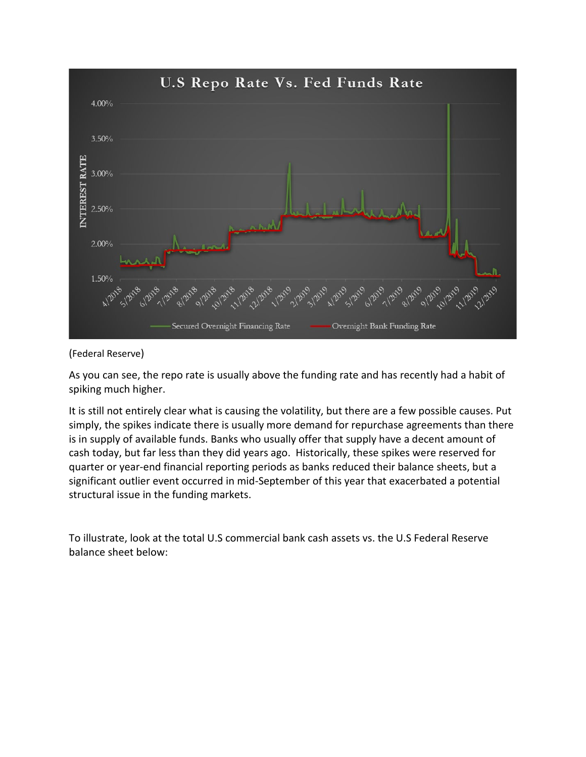

(Federal Reserve)

As you can see, the repo rate is usually above the funding rate and has recently had a habit of spiking much higher.

It is still not entirely clear what is causing the volatility, but there are a few possible causes. Put simply, the spikes indicate there is usually more demand for repurchase agreements than there is in supply of available funds. Banks who usually offer that supply have a decent amount of cash today, but far less than they did years ago. Historically, these spikes were reserved for quarter or year-end financial reporting periods as banks reduced their balance sheets, but a significant outlier event occurred in mid-September of this year that exacerbated a potential structural issue in the funding markets.

To illustrate, look at the total U.S commercial bank cash assets vs. the U.S Federal Reserve balance sheet below: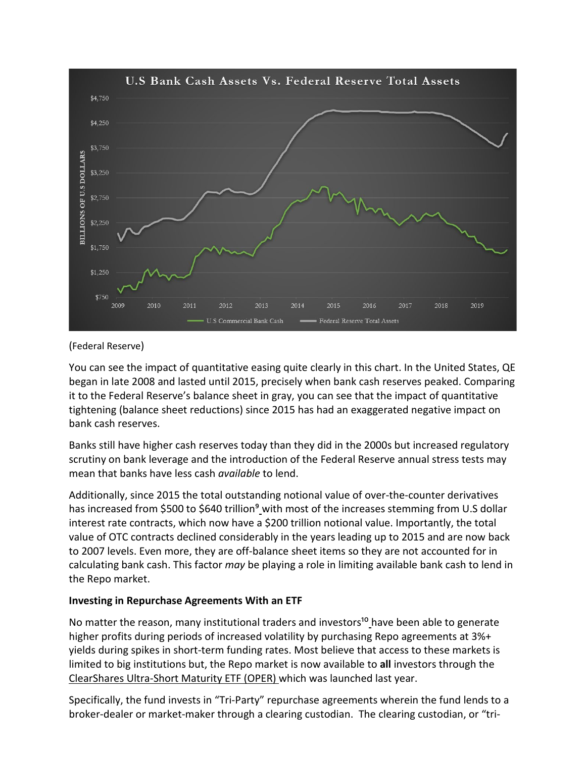

### (Federal Reserve)

You can see the impact of quantitative easing quite clearly in this chart. In the United States, QE began in late 2008 and lasted until 2015, precisely when bank cash reserves peaked. Comparing it to the Federal Reserve's balance sheet in gray, you can see that the impact of quantitative tightening (balance sheet reductions) since 2015 has had an exaggerated negative impact on bank cash reserves.

Banks still have higher cash reserves today than they did in the 2000s but increased regulatory scrutiny on bank leverage and the introduction of the Federal Reserve annual stress tests may mean that banks have less cash *available* to lend.

Additionally, since 2015 the total outstanding notional value of over-the-counter derivatives has increased from \$500 to \$640 trillion<sup>9</sup> with most of the increases stemming from U.S dollar interest rate contracts, which now have a \$200 trillion notional value. Importantly, the total value of OTC contracts declined considerably in the years leading up to 2015 and are now back to 2007 levels. Even more, they are off-balance sheet items so they are not accounted for in calculating bank cash. This factor *may* be playing a role in limiting available bank cash to lend in the Repo market.

### **Investing in Repurchase Agreements With an ETF**

No matter the reason, many institutional traders and investors<sup>10</sup> have been able to generate higher profits during periods of increased volatility by purchasing Repo agreements at 3%+ yields during spikes in short-term funding rates. Most believe that access to these markets is limited to big institutions but, the Repo market is now available to **all** investors through the [ClearShares Ultra-Short Maturity ETF \(OPER\)](https://www.clear-shares.com/oper) which was launched last year.

Specifically, the fund invests in "Tri-Party" repurchase agreements wherein the fund lends to a broker-dealer or market-maker through a clearing custodian. The clearing custodian, or "tri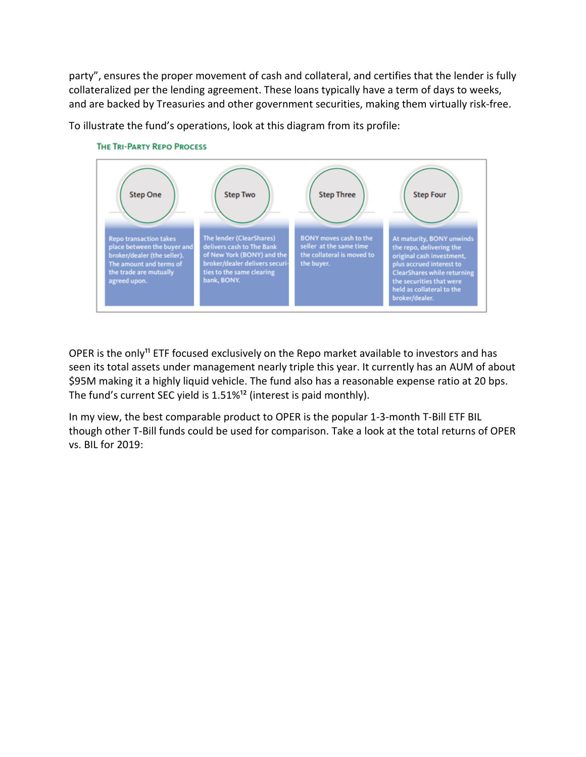party", ensures the proper movement of cash and collateral, and certifies that the lender is fully collateralized per the lending agreement. These loans typically have a term of days to weeks, and are backed by Treasuries and other government securities, making them virtually risk-free.







OPER is the only<sup>11</sup> ETF focused exclusively on the Repo market available to investors and has seen its total assets under management nearly triple this year. It currently has an AUM of about \$95M making it a highly liquid vehicle. The fund also has a reasonable expense ratio at 20 bps. The fund's current SEC yield is  $1.51\%$ <sup>12</sup> (interest is paid monthly).

In my view, the best comparable product to OPER is the popular 1-3-month T-Bill ETF BIL though other T-Bill funds could be used for comparison. Take a look at the total returns of OPER vs. BIL for 2019: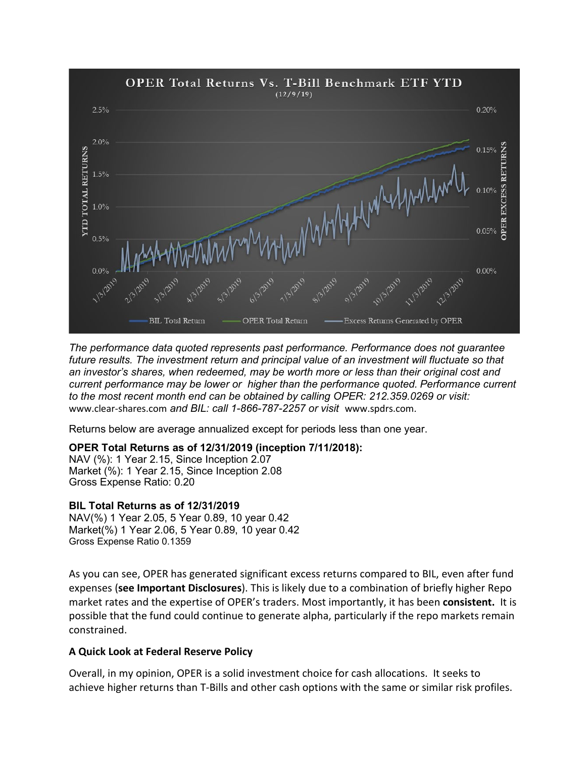

*The performance data quoted represents past performance. Performance does not guarantee future results. The investment return and principal value of an investment will fluctuate so that an investor's shares, when redeemed, may be worth more or less than their original cost and current performance may be lower or higher than the performance quoted. Performance current to the most recent month end can be obtained by calling OPER: 212.359.0269 or visit:* www.clear-shares.com *and BIL: call 1-866-787-2257 or visit* www.spdrs.com*.*

Returns below are average annualized except for periods less than one year.

# **OPER Total Returns as of 12/31/2019 (inception 7/11/2018):**

NAV (%): 1 Year 2.15, Since Inception 2.07 Market (%): 1 Year 2.15, Since Inception 2.08 Gross Expense Ratio: 0.20

### **BIL Total Returns as of 12/31/2019**

NAV(%) 1 Year 2.05, 5 Year 0.89, 10 year 0.42 Market(%) 1 Year 2.06, 5 Year 0.89, 10 year 0.42 Gross Expense Ratio 0.1359

As you can see, OPER has generated significant excess returns compared to BIL, even after fund expenses (**see Important Disclosures**). This is likely due to a combination of briefly higher Repo market rates and the expertise of OPER's traders. Most importantly, it has been **consistent.** It is possible that the fund could continue to generate alpha, particularly if the repo markets remain constrained.

### **A Quick Look at Federal Reserve Policy**

Overall, in my opinion, OPER is a solid investment choice for cash allocations. It seeks to achieve higher returns than T-Bills and other cash options with the same or similar risk profiles.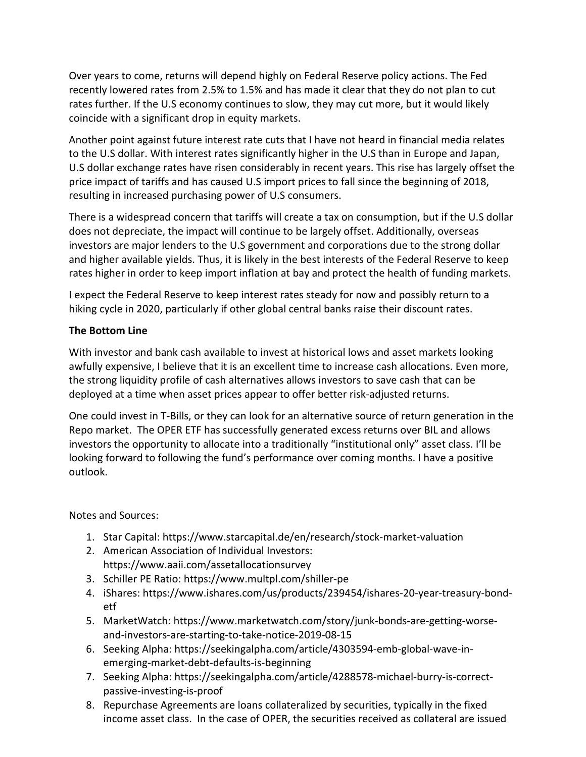Over years to come, returns will depend highly on Federal Reserve policy actions. The Fed recently lowered rates from 2.5% to 1.5% and has made it clear that they do not plan to cut rates further. If the U.S economy continues to slow, they may cut more, but it would likely coincide with a significant drop in equity markets.

Another point against future interest rate cuts that I have not heard in financial media relates to the U.S dollar. With interest rates significantly higher in the U.S than in Europe and Japan, U.S dollar exchange rates have risen considerably in recent years. This rise has largely offset the price impact of tariffs and has caused U.S import prices to fall since the beginning of 2018, resulting in increased purchasing power of U.S consumers.

There is a widespread concern that tariffs will create a tax on consumption, but if the U.S dollar does not depreciate, the impact will continue to be largely offset. Additionally, overseas investors are major lenders to the U.S government and corporations due to the strong dollar and higher available yields. Thus, it is likely in the best interests of the Federal Reserve to keep rates higher in order to keep import inflation at bay and protect the health of funding markets.

I expect the Federal Reserve to keep interest rates steady for now and possibly return to a hiking cycle in 2020, particularly if other global central banks raise their discount rates.

# **The Bottom Line**

With investor and bank cash available to invest at historical lows and asset markets looking awfully expensive, I believe that it is an excellent time to increase cash allocations. Even more, the strong liquidity profile of cash alternatives allows investors to save cash that can be deployed at a time when asset prices appear to offer better risk-adjusted returns.

One could invest in T-Bills, or they can look for an alternative source of return generation in the Repo market. The OPER ETF has successfully generated excess returns over BIL and allows investors the opportunity to allocate into a traditionally "institutional only" asset class. I'll be looking forward to following the fund's performance over coming months. I have a positive outlook.

Notes and Sources:

- 1. Star Capital: https://www.starcapital.de/en/research/stock-market-valuation
- 2. American Association of Individual Investors: https://www.aaii.com/assetallocationsurvey
- 3. Schiller PE Ratio: https://www.multpl.com/shiller-pe
- 4. iShares: https://www.ishares.com/us/products/239454/ishares-20-year-treasury-bondetf
- 5. MarketWatch: https://www.marketwatch.com/story/junk-bonds-are-getting-worseand-investors-are-starting-to-take-notice-2019-08-15
- 6. Seeking Alpha: https://seekingalpha.com/article/4303594-emb-global-wave-inemerging-market-debt-defaults-is-beginning
- 7. Seeking Alpha: https://seekingalpha.com/article/4288578-michael-burry-is-correctpassive-investing-is-proof
- 8. Repurchase Agreements are loans collateralized by securities, typically in the fixed income asset class. In the case of OPER, the securities received as collateral are issued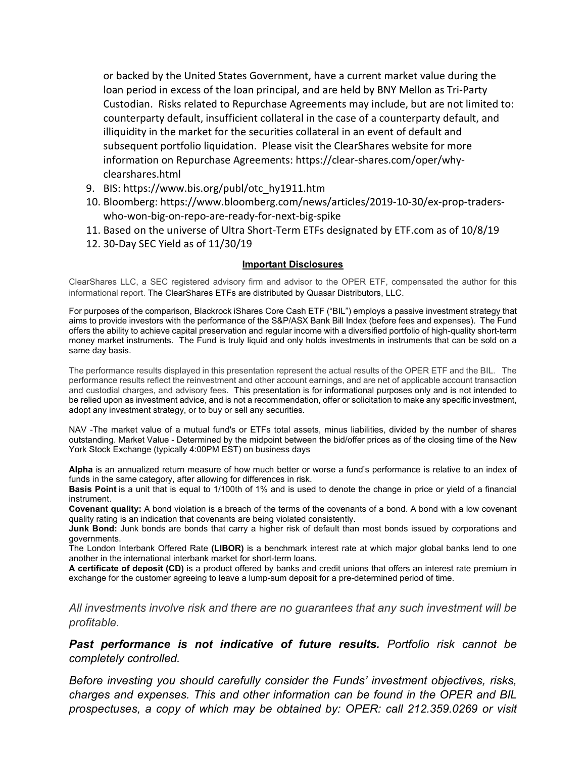or backed by the United States Government, have a current market value during the loan period in excess of the loan principal, and are held by BNY Mellon as Tri-Party Custodian. Risks related to Repurchase Agreements may include, but are not limited to: counterparty default, insufficient collateral in the case of a counterparty default, and illiquidity in the market for the securities collateral in an event of default and subsequent portfolio liquidation. Please visit the ClearShares website for more information on Repurchase Agreements: https://clear-shares.com/oper/whyclearshares.html

- 9. BIS: https://www.bis.org/publ/otc\_hy1911.htm
- 10. Bloomberg: https://www.bloomberg.com/news/articles/2019-10-30/ex-prop-traderswho-won-big-on-repo-are-ready-for-next-big-spike
- 11. Based on the universe of Ultra Short-Term ETFs designated by ETF.com as of 10/8/19
- 12. 30-Day SEC Yield as of 11/30/19

#### **Important Disclosures**

ClearShares LLC, a SEC registered advisory firm and advisor to the OPER ETF, compensated the author for this informational report. The ClearShares ETFs are distributed by Quasar Distributors, LLC.

For purposes of the comparison, Blackrock iShares Core Cash ETF ("BIL") employs a passive investment strategy that aims to provide investors with the performance of the S&P/ASX Bank Bill Index (before fees and expenses). The Fund offers the ability to achieve capital preservation and regular income with a diversified portfolio of high-quality short-term money market instruments. The Fund is truly liquid and only holds investments in instruments that can be sold on a same day basis.

The performance results displayed in this presentation represent the actual results of the OPER ETF and the BIL. The performance results reflect the reinvestment and other account earnings, and are net of applicable account transaction and custodial charges, and advisory fees. This presentation is for informational purposes only and is not intended to be relied upon as investment advice, and is not a recommendation, offer or solicitation to make any specific investment, adopt any investment strategy, or to buy or sell any securities.

NAV -The market value of a mutual fund's or ETFs total assets, minus liabilities, divided by the number of shares outstanding. Market Value - Determined by the midpoint between the bid/offer prices as of the closing time of the New York Stock Exchange (typically 4:00PM EST) on business days

**Alpha** is an annualized return measure of how much better or worse a fund's performance is relative to an index of funds in the same category, after allowing for differences in risk.

**Basis Point** is a unit that is equal to 1/100th of 1% and is used to denote the change in price or yield of a financial instrument.

**Covenant quality:** A bond violation is a breach of the terms of the covenants of a bond. A bond with a low covenant quality rating is an indication that covenants are being violated consistently.

**Junk Bond:** Junk bonds are bonds that carry a higher risk of default than most bonds issued by corporations and governments.

The London Interbank Offered Rate **(LIBOR)** is a benchmark interest rate at which major global banks lend to one another in the international interbank market for short-term loans.

**A certificate of deposit (CD)** is a product offered by banks and credit unions that offers an interest rate premium in exchange for the customer agreeing to leave a lump-sum deposit for a pre-determined period of time.

*All investments involve risk and there are no guarantees that any such investment will be profitable.* 

*Past performance is not indicative of future results. Portfolio risk cannot be completely controlled.* 

*Before investing you should carefully consider the Funds' investment objectives, risks, charges and expenses. This and other information can be found in the OPER and BIL prospectuses, a copy of which may be obtained by: OPER: call 212.359.0269 or visit*